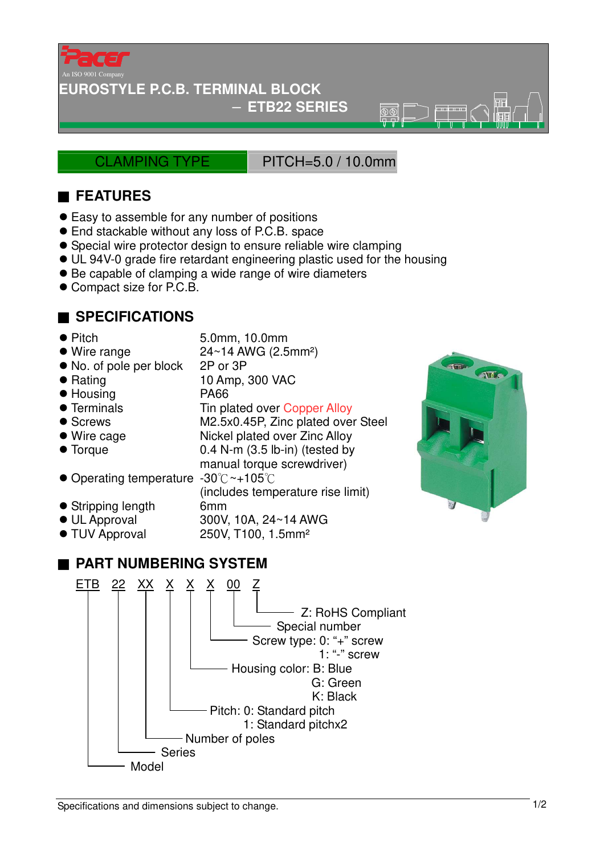

#### **EUROSTYLE P.C.B. TERMINAL BLOCK**

#### − **ETB22 SERIES**

CLAMPING TYPE PITCH=5.0 / 10.0mm

 $\overline{\circledR}$ 

## ■ **FEATURES**

- Easy to assemble for any number of positions
- End stackable without any loss of P.C.B. space
- Special wire protector design to ensure reliable wire clamping
- UL 94V-0 grade fire retardant engineering plastic used for the housing
- Be capable of clamping a wide range of wire diameters
- Compact size for P.C.B.

## ■ **SPECIFICATIONS**

- Pitch 5.0mm, 10.0mm
- $\bullet$  Wire range  $24~14$  AWG (2.5mm<sup>2</sup>)
- No. of pole per block 2P or 3P
- 
- 
- 
- 
- Wire cage Nickel plated over Zinc Alloy
- 

(includes temperature rise limit)

250V, T100, 1.5mm<sup>2</sup>

- Rating 10 Amp, 300 VAC
- Housing PA66
- Terminals Tin plated over Copper Alloy
- Screws M2.5x0.45P, Zinc plated over Steel
- 
- Torque 0.4 N-m (3.5 lb-in) (tested by
- manual torque screwdriver) ● Operating temperature -30°C~+105°C
- Stripping length 6mm
- 
- UL Approval 300V, 10A, 24~14 AWG<br>● TUV Approval 250V, T100, 1.5mm<sup>2</sup>

# ■ **PART NUMBERING SYSTEM**